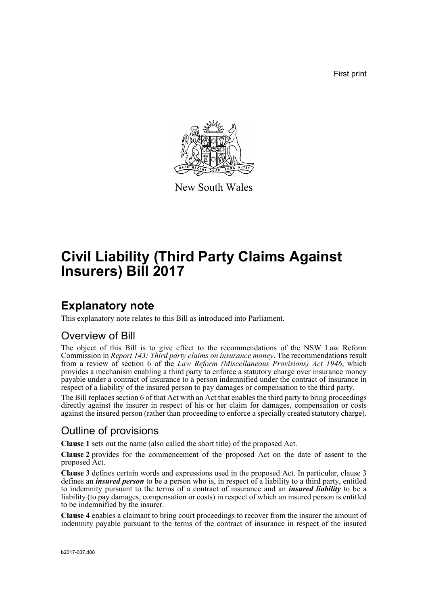First print



New South Wales

# **Civil Liability (Third Party Claims Against Insurers) Bill 2017**

## **Explanatory note**

This explanatory note relates to this Bill as introduced into Parliament.

## Overview of Bill

The object of this Bill is to give effect to the recommendations of the NSW Law Reform Commission in *Report 143: Third party claims on insurance money*. The recommendations result from a review of section 6 of the *Law Reform (Miscellaneous Provisions) Act 1946*, which provides a mechanism enabling a third party to enforce a statutory charge over insurance money payable under a contract of insurance to a person indemnified under the contract of insurance in respect of a liability of the insured person to pay damages or compensation to the third party.

The Bill replaces section 6 of that Act with an Act that enables the third party to bring proceedings directly against the insurer in respect of his or her claim for damages, compensation or costs against the insured person (rather than proceeding to enforce a specially created statutory charge).

## Outline of provisions

**Clause 1** sets out the name (also called the short title) of the proposed Act.

**Clause 2** provides for the commencement of the proposed Act on the date of assent to the proposed Act.

**Clause 3** defines certain words and expressions used in the proposed Act. In particular, clause 3 defines an *insured person* to be a person who is, in respect of a liability to a third party, entitled to indemnity pursuant to the terms of a contract of insurance and an *insured liability* to be a liability (to pay damages, compensation or costs) in respect of which an insured person is entitled to be indemnified by the insurer.

**Clause 4** enables a claimant to bring court proceedings to recover from the insurer the amount of indemnity payable pursuant to the terms of the contract of insurance in respect of the insured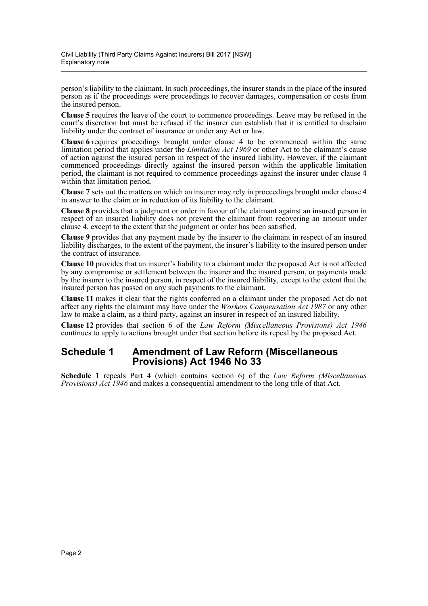person's liability to the claimant. In such proceedings, the insurer stands in the place of the insured person as if the proceedings were proceedings to recover damages, compensation or costs from the insured person.

**Clause 5** requires the leave of the court to commence proceedings. Leave may be refused in the court's discretion but must be refused if the insurer can establish that it is entitled to disclaim liability under the contract of insurance or under any Act or law.

**Clause 6** requires proceedings brought under clause 4 to be commenced within the same limitation period that applies under the *Limitation Act 1969* or other Act to the claimant's cause of action against the insured person in respect of the insured liability. However, if the claimant commenced proceedings directly against the insured person within the applicable limitation period, the claimant is not required to commence proceedings against the insurer under clause 4 within that limitation period.

**Clause 7** sets out the matters on which an insurer may rely in proceedings brought under clause 4 in answer to the claim or in reduction of its liability to the claimant.

**Clause 8** provides that a judgment or order in favour of the claimant against an insured person in respect of an insured liability does not prevent the claimant from recovering an amount under clause 4, except to the extent that the judgment or order has been satisfied.

**Clause 9** provides that any payment made by the insurer to the claimant in respect of an insured liability discharges, to the extent of the payment, the insurer's liability to the insured person under the contract of insurance.

**Clause 10** provides that an insurer's liability to a claimant under the proposed Act is not affected by any compromise or settlement between the insurer and the insured person, or payments made by the insurer to the insured person, in respect of the insured liability, except to the extent that the insured person has passed on any such payments to the claimant.

**Clause 11** makes it clear that the rights conferred on a claimant under the proposed Act do not affect any rights the claimant may have under the *Workers Compensation Act 1987* or any other law to make a claim, as a third party, against an insurer in respect of an insured liability.

**Clause 12** provides that section 6 of the *Law Reform (Miscellaneous Provisions) Act 1946* continues to apply to actions brought under that section before its repeal by the proposed Act.

### **Schedule 1 Amendment of Law Reform (Miscellaneous Provisions) Act 1946 No 33**

**Schedule 1** repeals Part 4 (which contains section 6) of the *Law Reform (Miscellaneous Provisions) Act 1946* and makes a consequential amendment to the long title of that Act.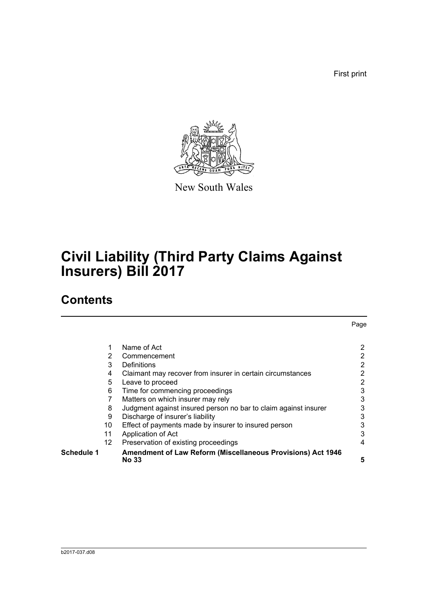First print



New South Wales

# **Civil Liability (Third Party Claims Against Insurers) Bill 2017**

## **Contents**

|            |                 |                                                                 | Page           |
|------------|-----------------|-----------------------------------------------------------------|----------------|
|            |                 |                                                                 |                |
|            | 1               | Name of Act                                                     | $\overline{2}$ |
|            | 2               | Commencement                                                    | 2              |
|            | 3               | Definitions                                                     | 2              |
|            | 4               | Claimant may recover from insurer in certain circumstances      | 2              |
|            | 5               | Leave to proceed                                                | $\overline{2}$ |
|            | 6               | Time for commencing proceedings                                 | 3              |
|            |                 | Matters on which insurer may rely                               | 3              |
|            | 8               | Judgment against insured person no bar to claim against insurer | 3              |
|            | 9               | Discharge of insurer's liability                                | 3              |
|            | 10              | Effect of payments made by insurer to insured person            | 3              |
|            | 11              | Application of Act                                              | 3              |
|            | 12 <sup>2</sup> | Preservation of existing proceedings                            | 4              |
| Schedule 1 |                 | Amendment of Law Reform (Miscellaneous Provisions) Act 1946     |                |
|            |                 | <b>No 33</b>                                                    | 5              |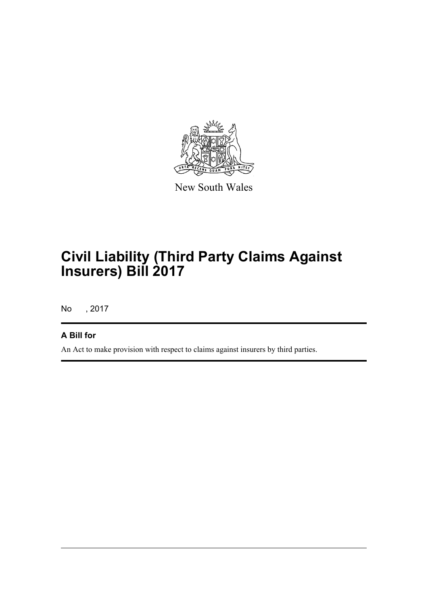

New South Wales

# **Civil Liability (Third Party Claims Against Insurers) Bill 2017**

No , 2017

### **A Bill for**

An Act to make provision with respect to claims against insurers by third parties.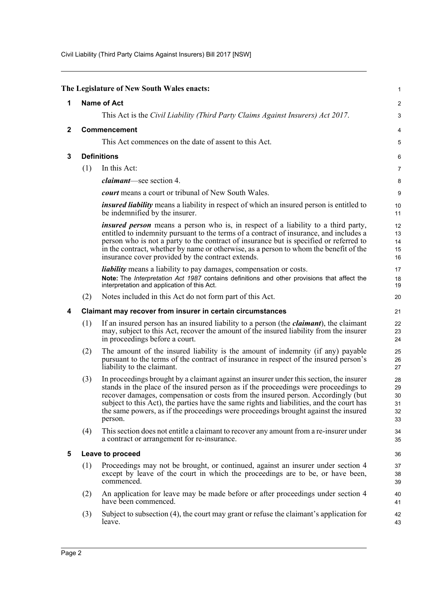Civil Liability (Third Party Claims Against Insurers) Bill 2017 [NSW]

<span id="page-4-4"></span><span id="page-4-3"></span><span id="page-4-2"></span><span id="page-4-1"></span><span id="page-4-0"></span>

|                                     |                    | The Legislature of New South Wales enacts:                                                                                                                                                                                                                                                                                                                                                                                                                        | 1                                |  |
|-------------------------------------|--------------------|-------------------------------------------------------------------------------------------------------------------------------------------------------------------------------------------------------------------------------------------------------------------------------------------------------------------------------------------------------------------------------------------------------------------------------------------------------------------|----------------------------------|--|
| 1                                   | <b>Name of Act</b> |                                                                                                                                                                                                                                                                                                                                                                                                                                                                   |                                  |  |
|                                     |                    | This Act is the Civil Liability (Third Party Claims Against Insurers) Act 2017.                                                                                                                                                                                                                                                                                                                                                                                   | 3                                |  |
| <b>Commencement</b><br>$\mathbf{2}$ |                    |                                                                                                                                                                                                                                                                                                                                                                                                                                                                   | 4                                |  |
|                                     |                    | This Act commences on the date of assent to this Act.                                                                                                                                                                                                                                                                                                                                                                                                             | 5                                |  |
| 3                                   |                    | <b>Definitions</b>                                                                                                                                                                                                                                                                                                                                                                                                                                                | 6                                |  |
|                                     | (1)                | In this Act:                                                                                                                                                                                                                                                                                                                                                                                                                                                      | 7                                |  |
|                                     |                    | <i>claimant</i> —see section 4.                                                                                                                                                                                                                                                                                                                                                                                                                                   | 8                                |  |
|                                     |                    | court means a court or tribunal of New South Wales.                                                                                                                                                                                                                                                                                                                                                                                                               | 9                                |  |
|                                     |                    | <i>insured liability</i> means a liability in respect of which an insured person is entitled to<br>be indemnified by the insurer.                                                                                                                                                                                                                                                                                                                                 | 10<br>11                         |  |
|                                     |                    | <i>insured person</i> means a person who is, in respect of a liability to a third party,<br>entitled to indemnity pursuant to the terms of a contract of insurance, and includes a<br>person who is not a party to the contract of insurance but is specified or referred to<br>in the contract, whether by name or otherwise, as a person to whom the benefit of the<br>insurance cover provided by the contract extends.                                        | 12<br>13<br>14<br>15<br>16       |  |
|                                     |                    | <i>liability</i> means a liability to pay damages, compensation or costs.<br>Note: The Interpretation Act 1987 contains definitions and other provisions that affect the<br>interpretation and application of this Act.                                                                                                                                                                                                                                           | 17<br>18<br>19                   |  |
|                                     | (2)                | Notes included in this Act do not form part of this Act.                                                                                                                                                                                                                                                                                                                                                                                                          | 20                               |  |
| 4                                   |                    | Claimant may recover from insurer in certain circumstances                                                                                                                                                                                                                                                                                                                                                                                                        | 21                               |  |
|                                     | (1)                | If an insured person has an insured liability to a person (the <i>claimant</i> ), the claimant<br>may, subject to this Act, recover the amount of the insured liability from the insurer<br>in proceedings before a court.                                                                                                                                                                                                                                        | 22<br>23<br>24                   |  |
|                                     | (2)                | The amount of the insured liability is the amount of indemnity (if any) payable<br>pursuant to the terms of the contract of insurance in respect of the insured person's<br>liability to the claimant.                                                                                                                                                                                                                                                            | 25<br>26<br>27                   |  |
|                                     | (3)                | In proceedings brought by a claimant against an insurer under this section, the insurer<br>stands in the place of the insured person as if the proceedings were proceedings to<br>recover damages, compensation or costs from the insured person. Accordingly (but<br>subject to this Act), the parties have the same rights and liabilities, and the court has<br>the same powers, as if the proceedings were proceedings brought against the insured<br>person. | 28<br>29<br>30<br>31<br>32<br>33 |  |
|                                     | (4)                | This section does not entitle a claimant to recover any amount from a re-insurer under<br>a contract or arrangement for re-insurance.                                                                                                                                                                                                                                                                                                                             | 34<br>35                         |  |
| 5                                   |                    | Leave to proceed                                                                                                                                                                                                                                                                                                                                                                                                                                                  | 36                               |  |
|                                     | (1)                | Proceedings may not be brought, or continued, against an insurer under section 4<br>except by leave of the court in which the proceedings are to be, or have been,<br>commenced.                                                                                                                                                                                                                                                                                  | 37<br>38<br>39                   |  |
|                                     | (2)                | An application for leave may be made before or after proceedings under section 4<br>have been commenced.                                                                                                                                                                                                                                                                                                                                                          | 40<br>41                         |  |
|                                     | (3)                | Subject to subsection (4), the court may grant or refuse the claimant's application for<br>leave.                                                                                                                                                                                                                                                                                                                                                                 | 42<br>43                         |  |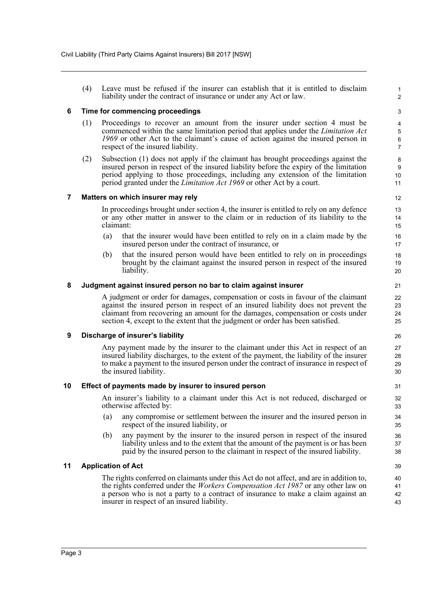(4) Leave must be refused if the insurer can establish that it is entitled to disclaim liability under the contract of insurance or under any Act or law.

#### <span id="page-5-0"></span>**6 Time for commencing proceedings**

- (1) Proceedings to recover an amount from the insurer under section 4 must be commenced within the same limitation period that applies under the *Limitation Act 1969* or other Act to the claimant's cause of action against the insured person in respect of the insured liability.
- (2) Subsection (1) does not apply if the claimant has brought proceedings against the insured person in respect of the insured liability before the expiry of the limitation period applying to those proceedings, including any extension of the limitation period granted under the *Limitation Act 1969* or other Act by a court.

#### <span id="page-5-1"></span>**7 Matters on which insurer may rely**

In proceedings brought under section 4, the insurer is entitled to rely on any defence or any other matter in answer to the claim or in reduction of its liability to the claimant:

- (a) that the insurer would have been entitled to rely on in a claim made by the insured person under the contract of insurance, or
- (b) that the insured person would have been entitled to rely on in proceedings brought by the claimant against the insured person in respect of the insured liability.

#### <span id="page-5-2"></span>**8 Judgment against insured person no bar to claim against insurer**

A judgment or order for damages, compensation or costs in favour of the claimant against the insured person in respect of an insured liability does not prevent the claimant from recovering an amount for the damages, compensation or costs under section 4, except to the extent that the judgment or order has been satisfied.

#### <span id="page-5-3"></span>**9 Discharge of insurer's liability**

Any payment made by the insurer to the claimant under this Act in respect of an insured liability discharges, to the extent of the payment, the liability of the insurer to make a payment to the insured person under the contract of insurance in respect of the insured liability.

#### <span id="page-5-4"></span>**10 Effect of payments made by insurer to insured person**

An insurer's liability to a claimant under this Act is not reduced, discharged or otherwise affected by:

- (a) any compromise or settlement between the insurer and the insured person in respect of the insured liability, or
- (b) any payment by the insurer to the insured person in respect of the insured liability unless and to the extent that the amount of the payment is or has been paid by the insured person to the claimant in respect of the insured liability.

#### <span id="page-5-5"></span>**11 Application of Act**

The rights conferred on claimants under this Act do not affect, and are in addition to, the rights conferred under the *Workers Compensation Act 1987* or any other law on a person who is not a party to a contract of insurance to make a claim against an insurer in respect of an insured liability.

1 2

3 4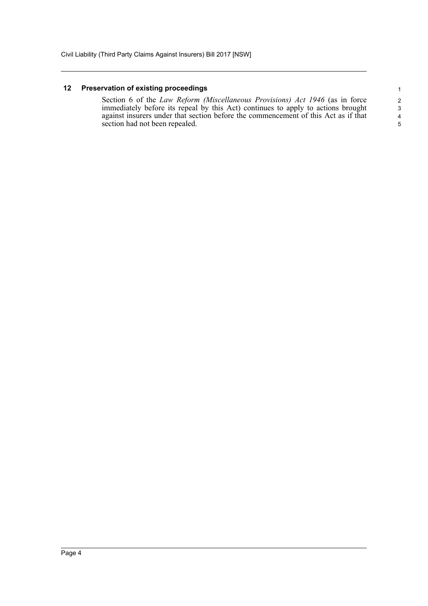#### <span id="page-6-0"></span>**12 Preservation of existing proceedings**

Section 6 of the *Law Reform (Miscellaneous Provisions) Act 1946* (as in force immediately before its repeal by this Act) continues to apply to actions brought against insurers under that section before the commencement of this Act as if that section had not been repealed.